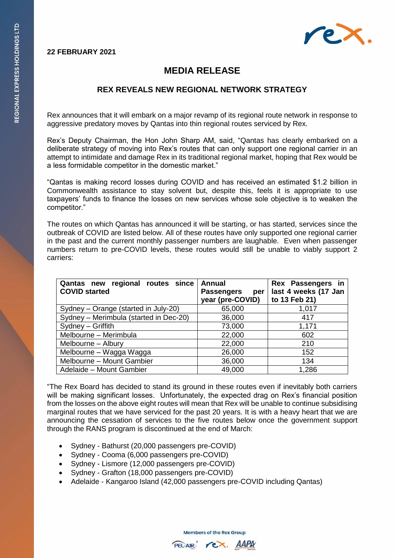## **22 FEBRUARY 2021**



## **MEDIA RELEASE**

## **REX REVEALS NEW REGIONAL NETWORK STRATEGY**

Rex announces that it will embark on a major revamp of its regional route network in response to aggressive predatory moves by Qantas into thin regional routes serviced by Rex.

Rex's Deputy Chairman, the Hon John Sharp AM, said, "Qantas has clearly embarked on a deliberate strategy of moving into Rex's routes that can only support one regional carrier in an attempt to intimidate and damage Rex in its traditional regional market, hoping that Rex would be a less formidable competitor in the domestic market."

"Qantas is making record losses during COVID and has received an estimated \$1.2 billion in Commonwealth assistance to stay solvent but, despite this, feels it is appropriate to use taxpayers' funds to finance the losses on new services whose sole objective is to weaken the competitor."

The routes on which Qantas has announced it will be starting, or has started, services since the outbreak of COVID are listed below. All of these routes have only supported one regional carrier in the past and the current monthly passenger numbers are laughable. Even when passenger numbers return to pre-COVID levels, these routes would still be unable to viably support 2 carriers:

| Qantas new regional routes since<br><b>COVID started</b> | <b>Annual</b><br><b>Passengers</b><br>per<br>year (pre-COVID) | Rex Passengers in<br>last 4 weeks (17 Jan<br>to 13 Feb 21) |
|----------------------------------------------------------|---------------------------------------------------------------|------------------------------------------------------------|
| Sydney - Orange (started in July-20)                     | 65,000                                                        | 1,017                                                      |
| Sydney - Merimbula (started in Dec-20)                   | 36,000                                                        | 417                                                        |
| Sydney - Griffith                                        | 73,000                                                        | 1,171                                                      |
| Melbourne - Merimbula                                    | 22,000                                                        | 602                                                        |
| Melbourne - Albury                                       | 22,000                                                        | 210                                                        |
| Melbourne - Wagga Wagga                                  | 26,000                                                        | 152                                                        |
| Melbourne - Mount Gambier                                | 36,000                                                        | 134                                                        |
| Adelaide - Mount Gambier                                 | 49,000                                                        | 1,286                                                      |

"The Rex Board has decided to stand its ground in these routes even if inevitably both carriers will be making significant losses. Unfortunately, the expected drag on Rex's financial position from the losses on the above eight routes will mean that Rex will be unable to continue subsidising marginal routes that we have serviced for the past 20 years. It is with a heavy heart that we are announcing the cessation of services to the five routes below once the government support through the RANS program is discontinued at the end of March:

- Sydney Bathurst (20,000 passengers pre-COVID)
- Sydney Cooma (6,000 passengers pre-COVID)
- Sydney Lismore (12,000 passengers pre-COVID)
- Sydney Grafton (18,000 passengers pre-COVID)
- Adelaide Kangaroo Island (42,000 passengers pre-COVID including Qantas)

**Members of the Rex Group**